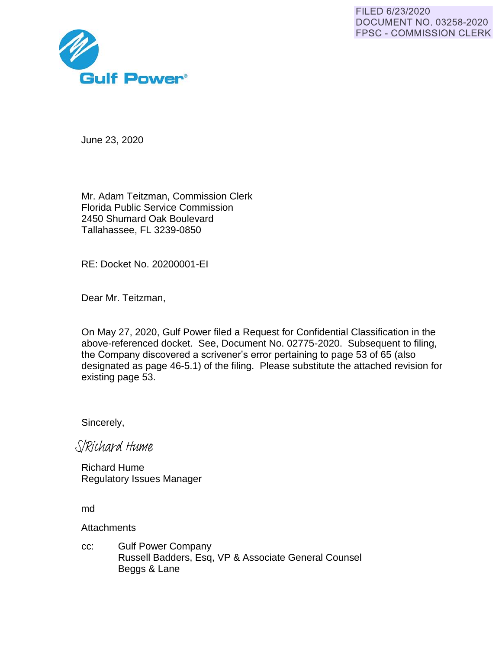FILED 6/23/2020 **DOCUMENT NO. 03258-2020 FPSC - COMMISSION CLERK** 



June 23, 2020

Mr. Adam Teitzman, Commission Clerk Florida Public Service Commission 2450 Shumard Oak Boulevard Tallahassee, FL 3239-0850

RE: Docket No. 20200001-EI

Dear Mr. Teitzman,

On May 27, 2020, Gulf Power filed a Request for Confidential Classification in the above-referenced docket. See, Document No. 02775-2020. Subsequent to filing, the Company discovered a scrivener's error pertaining to page 53 of 65 (also designated as page 46-5.1) of the filing. Please substitute the attached revision for existing page 53.

Sincerely,

S/Richard Hume

Richard Hume Regulatory Issues Manager

md

**Attachments** 

cc: Gulf Power Company Russell Badders, Esq, VP & Associate General Counsel Beggs & Lane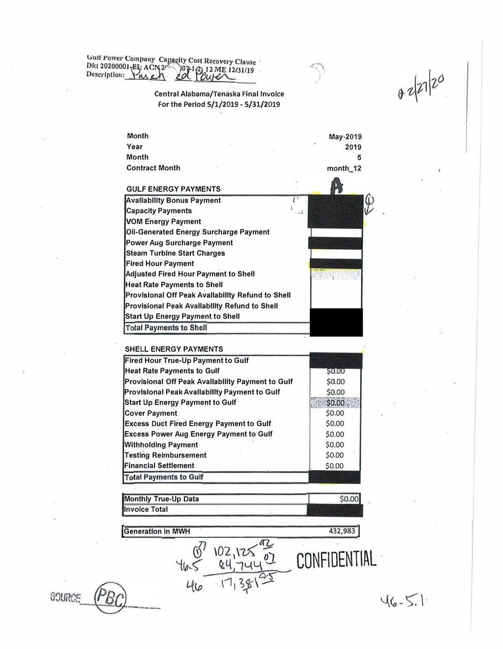Gulf Power Company Capacity Cost Recovery Clause<br>Dkt 20200001-EL: ACN 2<sup>n</sup> 07-12 12 ME 12/31/19<br>Description: Yulen 20. OUP Outer

## Central Alabama/Tenaska Final Invoice For the Period 5/1/2019 - 5/31/2019

| Year<br>2019<br><b>Month</b><br>5<br><b>Contract Month</b><br>month_12<br><b>GULF ENERGY PAYMENTS</b><br><b>Capacity Payments</b><br><b>Oli-Generated Energy Surcharge Payment</b><br><b>Power Aug Surcharge Payment</b><br><b>Steam Turbine Start Charges</b><br><b>Fired Hour Payment</b> | <b>Month</b>                                             | May-2019 |
|---------------------------------------------------------------------------------------------------------------------------------------------------------------------------------------------------------------------------------------------------------------------------------------------|----------------------------------------------------------|----------|
|                                                                                                                                                                                                                                                                                             |                                                          |          |
|                                                                                                                                                                                                                                                                                             |                                                          |          |
|                                                                                                                                                                                                                                                                                             |                                                          |          |
|                                                                                                                                                                                                                                                                                             |                                                          |          |
|                                                                                                                                                                                                                                                                                             | <b>Availability Bonus Payment</b>                        |          |
|                                                                                                                                                                                                                                                                                             |                                                          |          |
|                                                                                                                                                                                                                                                                                             | <b>VOM Energy Payment</b>                                |          |
|                                                                                                                                                                                                                                                                                             |                                                          |          |
|                                                                                                                                                                                                                                                                                             |                                                          |          |
|                                                                                                                                                                                                                                                                                             |                                                          |          |
|                                                                                                                                                                                                                                                                                             |                                                          |          |
|                                                                                                                                                                                                                                                                                             | <b>Adjusted Fired Hour Payment to Shell</b>              |          |
|                                                                                                                                                                                                                                                                                             | <b>Heat Rate Payments to Shell</b>                       |          |
|                                                                                                                                                                                                                                                                                             | <b>Provisional Off Peak Avallability Refund to Shell</b> |          |
|                                                                                                                                                                                                                                                                                             | <b>Provisional Peak Avallability Refund to Shell</b>     |          |
|                                                                                                                                                                                                                                                                                             | <b>Start Up Energy Payment to Shell</b>                  |          |
|                                                                                                                                                                                                                                                                                             | <b>Total Payments to Shell</b>                           |          |

 $\leq$ 

 $82220$ 

## SHELL ENERGY PAYMENTS

| Fired Hour True-Up Payment to Gulf                   |        |
|------------------------------------------------------|--------|
| <b>Heat Rate Payments to Gulf</b>                    | S0.00  |
| Provisional Off Peak Avallability Payment to Gulf    | \$0.00 |
| <b>Provisional Peak Availability Payment to Gulf</b> | \$0.00 |
| <b>Start Up Energy Payment to Gulf</b>               | \$0,00 |
| <b>Cover Payment</b>                                 | \$0.00 |
| <b>Excess Duct Fired Energy Payment to Gulf</b>      | \$0.00 |
| <b>Excess Power Aug Energy Payment to Gulf</b>       | \$0.00 |
| <b>Withholding Payment</b>                           | \$0.00 |
| <b>Testing Reimbursement</b>                         | \$0.00 |
| <b>Financial Settlement</b>                          | \$0.00 |
| <b>Total Payments to Gulf</b>                        |        |

| <b>Monthly True-Up Data</b> | \$0,00L |
|-----------------------------|---------|
| Invoice Total               |         |

102,125

 $-17,38$ 

 $46$ 

 $\overline{0}$ 

**Generation in MWH** 

**SOURCE** 

 $46 - 5.1$ 

432,983

CONFIDENTIAL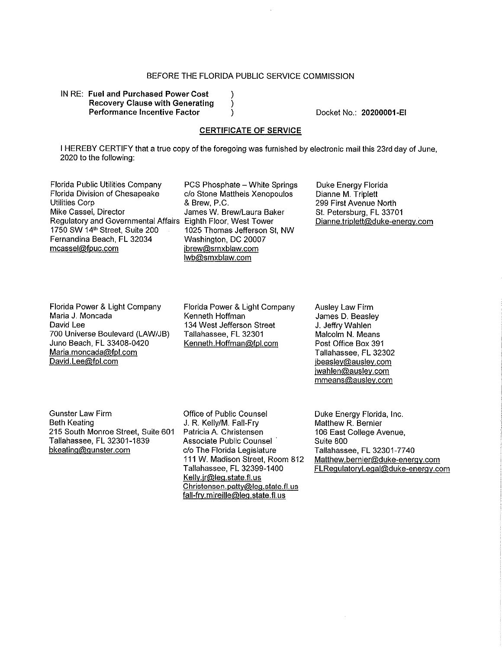## BEFORE THE FLORIDA PUBLIC SERVICE COMMISSION

 $\lambda$ 

 $\mathcal{E}$ 

)

IN RE: Fuel and Purchased Power Cost **Recovery Clause with Generating Performance Incentive Factor** 

Docket No.: 20200001-EI

## **CERTIFICATE OF SERVICE**

I HEREBY CERTIFY that a true copy of the foregoing was furnished by electronic mail this 23rd day of June. 2020 to the following:

Florida Public Utilities Company Florida Division of Chesapeake **Utilities Corp** Mike Cassel, Director Regulatory and Governmental Affairs Eighth Floor, West Tower 1750 SW 14th Street, Suite 200 Fernandina Beach, FL 32034 mcassel@fpuc.com

PCS Phosphate - White Springs c/o Stone Mattheis Xenopoulos & Brew, P.C. James W. Brew/Laura Baker 1025 Thomas Jefferson St, NW Washington, DC 20007 jbrew@smxblaw.com wb@smxblaw.com

Duke Energy Florida Dianne M. Triplett 299 First Avenue North St. Petersburg, FL 33701 Dianne.triplett@duke-energy.com

Florida Power & Light Company Maria J. Moncada David Lee 700 Universe Boulevard (LAW/JB) Juno Beach, FL 33408-0420 Maria.moncada@fpl.com David.Lee@fpl.com

Florida Power & Light Company Kenneth Hoffman 134 West Jefferson Street Tallahassee, FL 32301 Kenneth.Hoffman@fpl.com

**Ausley Law Firm** James D. Beasley J. Jeffry Wahlen Malcolm N. Means Post Office Box 391 Tallahassee, FL 32302 jbeasley@ausley.com jwahlen@ausley.com mmeans@ausley.com

**Gunster Law Firm Beth Keating** 215 South Monroe Street, Suite 601 Tallahassee, FL 32301-1839 bkeating@gunster.com

Office of Public Counsel J. R. Kelly/M. Fall-Fry Patricia A. Christensen Associate Public Counsel c/o The Florida Legislature 111 W. Madison Street, Room 812 Tallahassee, FL 32399-1400 Kelly.jr@leg.state.fl.us Christensen.patty@leg.state.fl.us fall-fry.mireille@leg.state.fl.us

Duke Energy Florida, Inc. Matthew R. Bernier 106 East College Avenue, Suite 800 Tallahassee, FL 32301-7740 Matthew.bernier@duke-energy.com FLRegulatoryLegal@duke-energy.com